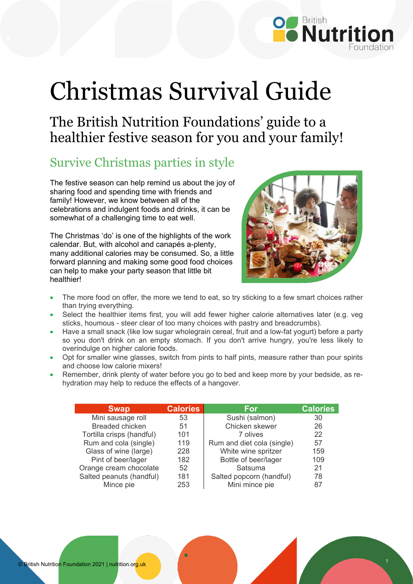

## Christmas Survival Guide

The British Nutrition Foundations' guide to a healthier festive season for you and your family!

## Survive Christmas parties in style

The festive season can help remind us about the joy of sharing food and spending time with friends and family! However, we know between all of the celebrations and indulgent foods and drinks, it can be somewhat of a challenging time to eat well.

The Christmas 'do' is one of the highlights of the work calendar. But, with alcohol and canapés a-plenty, many additional calories may be consumed. So, a little forward planning and making some good food choices can help to make your party season that little bit healthier!



- The more food on offer, the more we tend to eat, so try sticking to a few smart choices rather than trying everything.
- Select the healthier items first, you will add fewer higher calorie alternatives later (e.g. veg sticks, houmous - steer clear of too many choices with pastry and breadcrumbs).
- Have a small snack (like low sugar wholegrain cereal, fruit and a low-fat yogurt) before a party so you don't drink on an empty stomach. If you don't arrive hungry, you're less likely to overindulge on higher calorie foods.
- Opt for smaller wine glasses, switch from pints to half pints, measure rather than pour spirits and choose low calorie mixers!
- Remember, drink plenty of water before you go to bed and keep more by your bedside, as rehydration may help to reduce the effects of a hangover.

| <b>Swap</b>               | <b>Calories</b> | For                        | <b>Calories</b> |
|---------------------------|-----------------|----------------------------|-----------------|
| Mini sausage roll         | 53              | Sushi (salmon)             | 30              |
| <b>Breaded chicken</b>    | 51              | Chicken skewer             | 26              |
| Tortilla crisps (handful) | 101             | 7 olives                   | 22              |
| Rum and cola (single)     | 119             | Rum and diet cola (single) | 57              |
| Glass of wine (large)     | 228             | White wine spritzer        | 159             |
| Pint of beer/lager        | 182             | Bottle of beer/lager       | 109             |
| Orange cream chocolate    | 52              | Satsuma                    | 21              |
| Salted peanuts (handful)  | 181             | Salted popcorn (handful)   | 78              |
| Mince pie                 | 253             | Mini mince pie             | 87              |

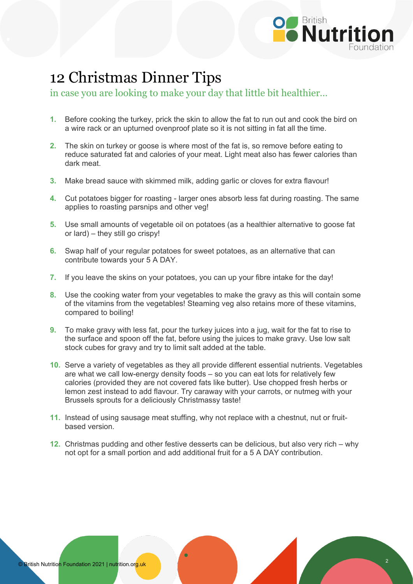

## 12 Christmas Dinner Tips

in case you are looking to make your day that little bit healthier…

- **1.** Before cooking the turkey, prick the skin to allow the fat to run out and cook the bird on a wire rack or an upturned ovenproof plate so it is not sitting in fat all the time.
- **2.** The skin on turkey or goose is where most of the fat is, so remove before eating to reduce saturated fat and calories of your meat. Light meat also has fewer calories than dark meat.
- **3.** Make bread sauce with skimmed milk, adding garlic or cloves for extra flavour!
- **4.** Cut potatoes bigger for roasting larger ones absorb less fat during roasting. The same applies to roasting parsnips and other veg!
- **5.** Use small amounts of vegetable oil on potatoes (as a healthier alternative to goose fat or lard) – they still go crispy!
- **6.** Swap half of your regular potatoes for sweet potatoes, as an alternative that can contribute towards your 5 A DAY.
- **7.** If you leave the skins on your potatoes, you can up your fibre intake for the day!
- **8.** Use the cooking water from your vegetables to make the gravy as this will contain some of the vitamins from the vegetables! Steaming veg also retains more of these vitamins, compared to boiling!
- **9.** To make gravy with less fat, pour the turkey juices into a jug, wait for the fat to rise to the surface and spoon off the fat, before using the juices to make gravy. Use low salt stock cubes for gravy and try to limit salt added at the table.
- **10.** Serve a variety of vegetables as they all provide different essential nutrients. Vegetables are what we call low-energy density foods – so you can eat lots for relatively few calories (provided they are not covered fats like butter). Use chopped fresh herbs or lemon zest instead to add flavour. Try caraway with your carrots, or nutmeg with your Brussels sprouts for a deliciously Christmassy taste!
- **11.** Instead of using sausage meat stuffing, why not replace with a chestnut, nut or fruitbased version.
- **12.** Christmas pudding and other festive desserts can be delicious, but also very rich why not opt for a small portion and add additional fruit for a 5 A DAY contribution.